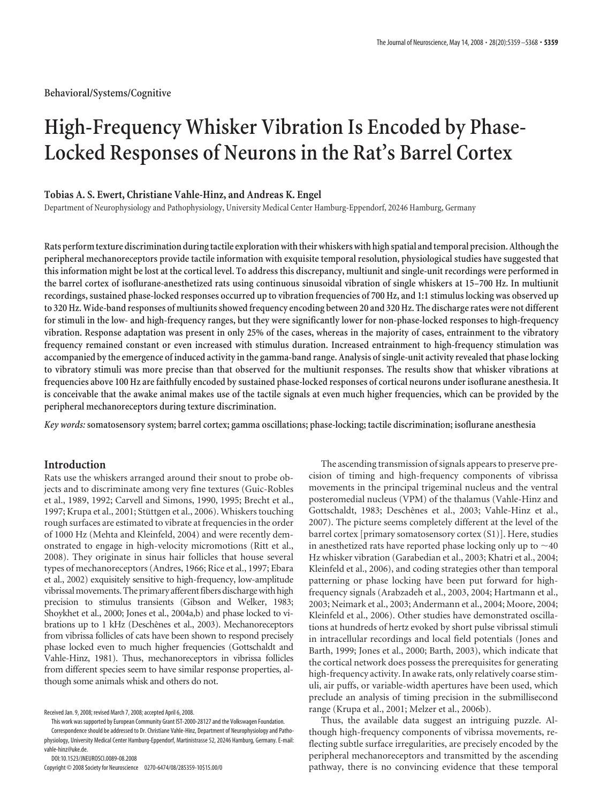**Behavioral/Systems/Cognitive**

# **High-Frequency Whisker Vibration Is Encoded by Phase-Locked Responses of Neurons in the Rat's Barrel Cortex**

# **Tobias A. S. Ewert, Christiane Vahle-Hinz, and Andreas K. Engel**

Department of Neurophysiology and Pathophysiology, University Medical Center Hamburg-Eppendorf, 20246 Hamburg, Germany

**Rats performtexture discrimination duringtactile exploration withtheir whiskers with high spatial andtemporal precision. Althoughthe peripheral mechanoreceptors provide tactile information with exquisite temporal resolution, physiological studies have suggested that this information might be lost at the cortical level. To address this discrepancy, multiunit and single-unit recordings were performed in the barrel cortex of isoflurane-anesthetized rats using continuous sinusoidal vibration of single whiskers at 15–700 Hz. In multiunit recordings, sustained phase-locked responses occurred up to vibration frequencies of 700 Hz, and 1:1 stimulus locking was observed up to 320 Hz. Wide-band responses of multiunits showed frequency encoding between 20 and 320 Hz. The discharge rates were not different for stimuli in the low- and high-frequency ranges, but they were significantly lower for non-phase-locked responses to high-frequency vibration. Response adaptation was present in only 25% of the cases, whereas in the majority of cases, entrainment to the vibratory frequency remained constant or even increased with stimulus duration. Increased entrainment to high-frequency stimulation was accompanied by the emergence of induced activity in the gamma-band range. Analysis of single-unit activity revealed that phase locking to vibratory stimuli was more precise than that observed for the multiunit responses. The results show that whisker vibrations at frequencies above 100 Hz are faithfully encoded by sustained phase-locked responses of cortical neurons under isoflurane anesthesia. It is conceivable that the awake animal makes use of the tactile signals at even much higher frequencies, which can be provided by the peripheral mechanoreceptors during texture discrimination.**

*Key words:* **somatosensory system; barrel cortex; gamma oscillations; phase-locking; tactile discrimination; isoflurane anesthesia**

# **Introduction**

Rats use the whiskers arranged around their snout to probe objects and to discriminate among very fine textures (Guic-Robles et al., 1989, 1992; Carvell and Simons, 1990, 1995; Brecht et al., 1997; Krupa et al., 2001; Stüttgen et al., 2006). Whiskers touching rough surfaces are estimated to vibrate at frequencies in the order of 1000 Hz (Mehta and Kleinfeld, 2004) and were recently demonstrated to engage in high-velocity micromotions (Ritt et al., 2008). They originate in sinus hair follicles that house several types of mechanoreceptors (Andres, 1966; Rice et al., 1997; Ebara et al., 2002) exquisitely sensitive to high-frequency, low-amplitude vibrissal movements. The primary afferent fibers discharge with high precision to stimulus transients (Gibson and Welker, 1983; Shoykhet et al., 2000; Jones et al., 2004a,b) and phase locked to vibrations up to 1 kHz (Deschênes et al., 2003). Mechanoreceptors from vibrissa follicles of cats have been shown to respond precisely phase locked even to much higher frequencies (Gottschaldt and Vahle-Hinz, 1981). Thus, mechanoreceptors in vibrissa follicles from different species seem to have similar response properties, although some animals whisk and others do not.

This work was supported by European Community Grant IST-2000-28127 and the Volkswagen Foundation.

Correspondence should be addressed to Dr. Christiane Vahle-Hinz, Department of Neurophysiology and Pathophysiology, University Medical Center Hamburg-Eppendorf, Martinistrasse 52, 20246 Hamburg, Germany. E-mail: vahle-hinz@uke.de.

DOI:10.1523/JNEUROSCI.0089-08.2008

Copyright © 2008 Society for Neuroscience 0270-6474/08/285359-10\$15.00/0

The ascending transmission of signals appears to preserve precision of timing and high-frequency components of vibrissa movements in the principal trigeminal nucleus and the ventral posteromedial nucleus (VPM) of the thalamus (Vahle-Hinz and Gottschaldt, 1983; Deschênes et al., 2003; Vahle-Hinz et al., 2007). The picture seems completely different at the level of the barrel cortex [primary somatosensory cortex (S1)]. Here, studies in anesthetized rats have reported phase locking only up to  $\sim$  40 Hz whisker vibration (Garabedian et al., 2003; Khatri et al., 2004; Kleinfeld et al., 2006), and coding strategies other than temporal patterning or phase locking have been put forward for highfrequency signals (Arabzadeh et al., 2003, 2004; Hartmann et al., 2003; Neimark et al., 2003; Andermann et al., 2004; Moore, 2004; Kleinfeld et al., 2006). Other studies have demonstrated oscillations at hundreds of hertz evoked by short pulse vibrissal stimuli in intracellular recordings and local field potentials (Jones and Barth, 1999; Jones et al., 2000; Barth, 2003), which indicate that the cortical network does possess the prerequisites for generating high-frequency activity. In awake rats, only relatively coarse stimuli, air puffs, or variable-width apertures have been used, which preclude an analysis of timing precision in the submillisecond range (Krupa et al., 2001; Melzer et al., 2006b).

Thus, the available data suggest an intriguing puzzle. Although high-frequency components of vibrissa movements, reflecting subtle surface irregularities, are precisely encoded by the peripheral mechanoreceptors and transmitted by the ascending pathway, there is no convincing evidence that these temporal

Received Jan. 9, 2008; revised March 7, 2008; accepted April 6, 2008.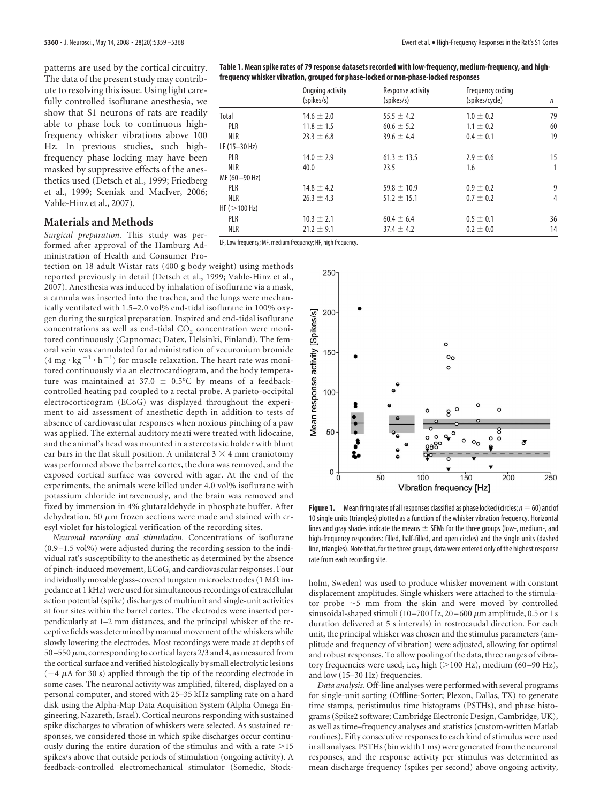patterns are used by the cortical circuitry. The data of the present study may contribute to resolving this issue. Using light carefully controlled isoflurane anesthesia, we show that S1 neurons of rats are readily able to phase lock to continuous highfrequency whisker vibrations above 100 Hz. In previous studies, such highfrequency phase locking may have been masked by suppressive effects of the anesthetics used (Detsch et al., 1999; Friedberg et al., 1999; Sceniak and MacIver, 2006; Vahle-Hinz et al., 2007).

## **Materials and Methods**

*Surgical preparation.* This study was performed after approval of the Hamburg Administration of Health and Consumer Pro-

tection on 18 adult Wistar rats (400 g body weight) using methods reported previously in detail (Detsch et al., 1999; Vahle-Hinz et al., 2007). Anesthesia was induced by inhalation of isoflurane via a mask, a cannula was inserted into the trachea, and the lungs were mechanically ventilated with 1.5–2.0 vol% end-tidal isoflurane in 100% oxygen during the surgical preparation. Inspired and end-tidal isoflurane concentrations as well as end-tidal  $CO<sub>2</sub>$  concentration were monitored continuously (Capnomac; Datex, Helsinki, Finland). The femoral vein was cannulated for administration of vecuronium bromide  $(4 \text{ mg} \cdot \text{kg}^{-1} \cdot \text{h}^{-1})$  for muscle relaxation. The heart rate was monitored continuously via an electrocardiogram, and the body temperature was maintained at 37.0  $\pm$  0.5°C by means of a feedbackcontrolled heating pad coupled to a rectal probe. A parieto-occipital electrocorticogram (ECoG) was displayed throughout the experiment to aid assessment of anesthetic depth in addition to tests of absence of cardiovascular responses when noxious pinching of a paw was applied. The external auditory meati were treated with lidocaine, and the animal's head was mounted in a stereotaxic holder with blunt ear bars in the flat skull position. A unilateral  $3 \times 4$  mm craniotomy was performed above the barrel cortex, the dura was removed, and the exposed cortical surface was covered with agar. At the end of the experiments, the animals were killed under 4.0 vol% isoflurane with potassium chloride intravenously, and the brain was removed and fixed by immersion in 4% glutaraldehyde in phosphate buffer. After dehydration, 50  $\mu$ m frozen sections were made and stained with cresyl violet for histological verification of the recording sites.

*Neuronal recording and stimulation.* Concentrations of isoflurane  $(0.9 - 1.5 \text{ vol})$  were adjusted during the recording session to the individual rat's susceptibility to the anesthetic as determined by the absence of pinch-induced movement, ECoG, and cardiovascular responses. Four individually movable glass-covered tungsten microelectrodes (1 M $\Omega$  impedance at 1 kHz) were used for simultaneous recordings of extracellular action potential (spike) discharges of multiunit and single-unit activities at four sites within the barrel cortex. The electrodes were inserted perpendicularly at 1–2 mm distances, and the principal whisker of the receptive fields was determined by manual movement of the whiskers while slowly lowering the electrodes. Most recordings were made at depths of 50 –550  $\mu$ m, corresponding to cortical layers 2/3 and 4, as measured from the cortical surface and verified histologically by small electrolytic lesions  $(-4 \mu A$  for 30 s) applied through the tip of the recording electrode in some cases. The neuronal activity was amplified, filtered, displayed on a personal computer, and stored with 25–35 kHz sampling rate on a hard disk using the Alpha-Map Data Acquisition System (Alpha Omega Engineering, Nazareth, Israel). Cortical neurons responding with sustained spike discharges to vibration of whiskers were selected. As sustained responses, we considered those in which spike discharges occur continuously during the entire duration of the stimulus and with a rate  $>15$ spikes/s above that outside periods of stimulation (ongoing activity). A feedback-controlled electromechanical stimulator (Somedic, Stock-

| Table 1. Mean spike rates of 79 response datasets recorded with low-frequency, medium-frequency, and high- |
|------------------------------------------------------------------------------------------------------------|
| frequency whisker vibration, grouped for phase-locked or non-phase-locked responses                        |

|                 | Ongoing activity<br>(spikes/s) | Response activity<br>(spikes/s) | Frequency coding<br>(spikes/cycle) | n              |
|-----------------|--------------------------------|---------------------------------|------------------------------------|----------------|
|                 |                                |                                 |                                    |                |
| Total           | $14.6 \pm 2.0$                 | $55.5 \pm 4.2$                  | $1.0 \pm 0.2$                      | 79             |
| PLR             | $11.8 \pm 1.5$                 | $60.6 \pm 5.2$                  | $1.1 \pm 0.2$                      | 60             |
| <b>NLR</b>      | $23.3 \pm 6.8$                 | $39.6 \pm 4.4$                  | $0.4 \pm 0.1$                      | 19             |
| $LF(15-30 Hz)$  |                                |                                 |                                    |                |
| PLR             | $14.0 \pm 2.9$                 | $61.3 \pm 13.5$                 | $2.9 \pm 0.6$                      | 15             |
| <b>NLR</b>      | 40.0                           | 23.5                            | 1.6                                | 1              |
| MF (60 - 90 Hz) |                                |                                 |                                    |                |
| <b>PLR</b>      | $14.8 \pm 4.2$                 | $59.8 \pm 10.9$                 | $0.9 \pm 0.2$                      | 9              |
| <b>NLR</b>      | $26.3 \pm 4.3$                 | $51.2 \pm 15.1$                 | $0.7 \pm 0.2$                      | $\overline{4}$ |
| HF(>100 Hz)     |                                |                                 |                                    |                |
| PLR             | $10.3 \pm 2.1$                 | $60.4 \pm 6.4$                  | $0.5 \pm 0.1$                      | 36             |
| <b>NLR</b>      | $21.2 \pm 9.1$                 | $37.4 \pm 4.2$                  | $0.2 \pm 0.0$                      | 14             |

LF, Low frequency; MF, medium frequency; HF, high frequency.



**Figure 1.** Mean firing rates of all responses classified as phase locked (circles;  $n = 60$ ) and of 10 single units (triangles) plotted as a function of the whisker vibration frequency. Horizontal lines and gray shades indicate the means  $\pm$  SEMs for the three groups (low-, medium-, and high-frequency responders: filled, half-filled, and open circles) and the single units (dashed line, triangles). Note that, for the three groups, data were entered only of the highest response rate from each recording site.

holm, Sweden) was used to produce whisker movement with constant displacement amplitudes. Single whiskers were attached to the stimulator probe  $\sim$  5 mm from the skin and were moved by controlled sinusoidal-shaped stimuli (10-700 Hz, 20-600  $\mu$ m amplitude, 0.5 or 1 s duration delivered at 5 s intervals) in rostrocaudal direction. For each unit, the principal whisker was chosen and the stimulus parameters (amplitude and frequency of vibration) were adjusted, allowing for optimal and robust responses. To allow pooling of the data, three ranges of vibratory frequencies were used, i.e., high (>100 Hz), medium (60-90 Hz), and low (15–30 Hz) frequencies.

*Data analysis.* Off-line analyses were performed with several programs for single-unit sorting (Offline-Sorter; Plexon, Dallas, TX) to generate time stamps, peristimulus time histograms (PSTHs), and phase histograms (Spike2 software; Cambridge Electronic Design, Cambridge, UK), as well as time–frequency analyses and statistics (custom-written Matlab routines). Fifty consecutive responses to each kind of stimulus were used in all analyses. PSTHs (bin width 1 ms) were generated from the neuronal responses, and the response activity per stimulus was determined as mean discharge frequency (spikes per second) above ongoing activity,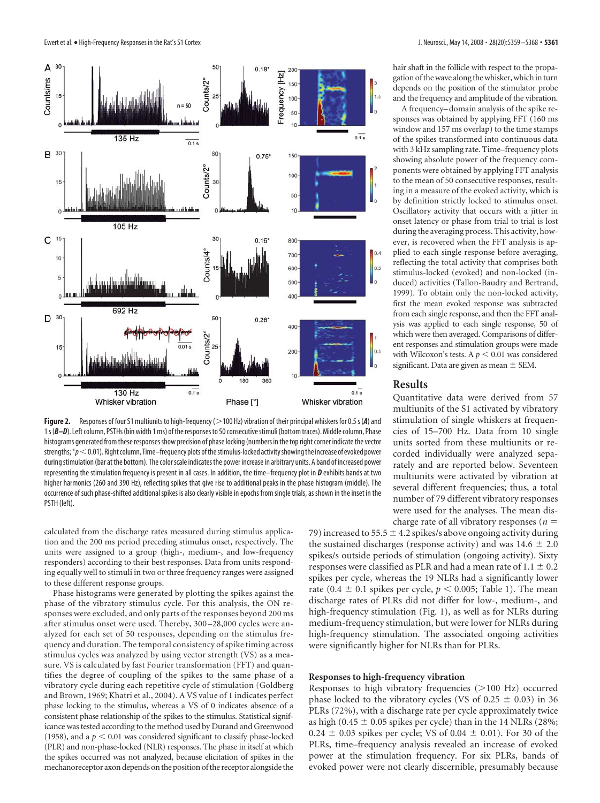

Figure 2. Responses of four S1 multiunits to high-frequency ( $>$ 100 Hz) vibration of their principal whiskers for 0.5 s (A) and 1s ( $B-D$ ). Left column, PSTHs (bin width 1 ms) of the responses to 50 consecutive stimuli (bottom traces). Middle column, Phase histograms generated from these responsesshow precision of phase locking (numbers in the top right corner indicate the vector strengths;  $*_p$  < 0.01). Right column, Time–frequency plots of the stimulus-locked activity showing the increase of evoked power during stimulation (bar at the bottom). The color scale indicates the power increase in arbitrary units. A band of increased power representing the stimulation frequency is present in all cases. In addition, the time–frequency plot in *D* exhibits bands at two higher harmonics (260 and 390 Hz), reflecting spikes that give rise to additional peaks in the phase histogram (middle). The occurrence of such phase-shifted additional spikes is also clearly visible in epochs from single trials, as shown in the inset in the PSTH (left).

calculated from the discharge rates measured during stimulus application and the 200 ms period preceding stimulus onset, respectively. The units were assigned to a group (high-, medium-, and low-frequency responders) according to their best responses. Data from units responding equally well to stimuli in two or three frequency ranges were assigned to these different response groups.

Phase histograms were generated by plotting the spikes against the phase of the vibratory stimulus cycle. For this analysis, the ON responses were excluded, and only parts of the responses beyond 200 ms after stimulus onset were used. Thereby, 300 –28,000 cycles were analyzed for each set of 50 responses, depending on the stimulus frequency and duration. The temporal consistency of spike timing across stimulus cycles was analyzed by using vector strength (VS) as a measure. VS is calculated by fast Fourier transformation (FFT) and quantifies the degree of coupling of the spikes to the same phase of a vibratory cycle during each repetitive cycle of stimulation (Goldberg and Brown, 1969; Khatri et al., 2004). A VS value of 1 indicates perfect phase locking to the stimulus, whereas a VS of 0 indicates absence of a consistent phase relationship of the spikes to the stimulus. Statistical significance was tested according to the method used by Durand and Greenwood (1958), and a  $p < 0.01$  was considered significant to classify phase-locked (PLR) and non-phase-locked (NLR) responses. The phase in itself at which the spikes occurred was not analyzed, because elicitation of spikes in the mechanoreceptor axon depends on the position of the receptor alongside the

hair shaft in the follicle with respect to the propagation of the wave along the whisker, which in turn depends on the position of the stimulator probe and the frequency and amplitude of the vibration.

A frequency– domain analysis of the spike responses was obtained by applying FFT (160 ms window and 157 ms overlap) to the time stamps of the spikes transformed into continuous data with 3 kHz sampling rate. Time–frequency plots showing absolute power of the frequency components were obtained by applying FFT analysis to the mean of 50 consecutive responses, resulting in a measure of the evoked activity, which is by definition strictly locked to stimulus onset. Oscillatory activity that occurs with a jitter in onset latency or phase from trial to trial is lost during the averaging process. This activity, however, is recovered when the FFT analysis is applied to each single response before averaging, reflecting the total activity that comprises both stimulus-locked (evoked) and non-locked (induced) activities (Tallon-Baudry and Bertrand, 1999). To obtain only the non-locked activity, first the mean evoked response was subtracted from each single response, and then the FFT analysis was applied to each single response, 50 of which were then averaged. Comparisons of different responses and stimulation groups were made with Wilcoxon's tests. A  $p < 0.01$  was considered significant. Data are given as mean  $\pm$  SEM.

## **Results**

Quantitative data were derived from 57 multiunits of the S1 activated by vibratory stimulation of single whiskers at frequencies of 15–700 Hz. Data from 10 single units sorted from these multiunits or recorded individually were analyzed separately and are reported below. Seventeen multiunits were activated by vibration at several different frequencies; thus, a total number of 79 different vibratory responses were used for the analyses. The mean discharge rate of all vibratory responses (*n*

79) increased to 55.5  $\pm$  4.2 spikes/s above ongoing activity during the sustained discharges (response activity) and was  $14.6 \pm 2.0$ spikes/s outside periods of stimulation (ongoing activity). Sixty responses were classified as PLR and had a mean rate of  $1.1 \pm 0.2$ spikes per cycle, whereas the 19 NLRs had a significantly lower rate (0.4  $\pm$  0.1 spikes per cycle,  $p < 0.005$ ; Table 1). The mean discharge rates of PLRs did not differ for low-, medium-, and high-frequency stimulation (Fig. 1), as well as for NLRs during medium-frequency stimulation, but were lower for NLRs during high-frequency stimulation. The associated ongoing activities were significantly higher for NLRs than for PLRs.

#### **Responses to high-frequency vibration**

Responses to high vibratory frequencies (>100 Hz) occurred phase locked to the vibratory cycles (VS of 0.25  $\pm$  0.03) in 36 PLRs (72%), with a discharge rate per cycle approximately twice as high (0.45  $\pm$  0.05 spikes per cycle) than in the 14 NLRs (28%;  $0.24 \pm 0.03$  spikes per cycle; VS of  $0.04 \pm 0.01$ ). For 30 of the PLRs, time–frequency analysis revealed an increase of evoked power at the stimulation frequency. For six PLRs, bands of evoked power were not clearly discernible, presumably because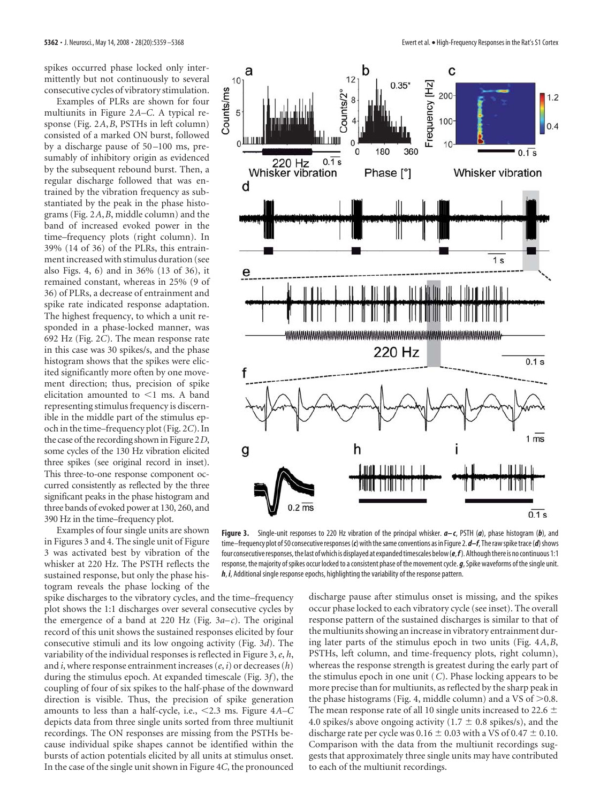spikes occurred phase locked only intermittently but not continuously to several consecutive cycles of vibratory stimulation.

Examples of PLRs are shown for four multiunits in Figure 2*A–C*. A typical response (Fig. 2*A*,*B*, PSTHs in left column) consisted of a marked ON burst, followed by a discharge pause of 50 –100 ms, presumably of inhibitory origin as evidenced by the subsequent rebound burst. Then, a regular discharge followed that was entrained by the vibration frequency as substantiated by the peak in the phase histograms (Fig. 2*A*,*B*, middle column) and the band of increased evoked power in the time–frequency plots (right column). In 39% (14 of 36) of the PLRs, this entrainment increased with stimulus duration (see also Figs. 4, 6) and in 36% (13 of 36), it remained constant, whereas in 25% (9 of 36) of PLRs, a decrease of entrainment and spike rate indicated response adaptation. The highest frequency, to which a unit responded in a phase-locked manner, was 692 Hz (Fig. 2*C*). The mean response rate in this case was 30 spikes/s, and the phase histogram shows that the spikes were elicited significantly more often by one movement direction; thus, precision of spike elicitation amounted to  $\leq$ 1 ms. A band representing stimulus frequency is discernible in the middle part of the stimulus epoch in the time–frequency plot (Fig. 2*C*). In the case of the recording shown in Figure 2*D*, some cycles of the 130 Hz vibration elicited three spikes (see original record in inset). This three-to-one response component occurred consistently as reflected by the three significant peaks in the phase histogram and three bands of evoked power at 130, 260, and 390 Hz in the time–frequency plot.

Examples of four single units are shown in Figures 3 and 4. The single unit of Figure 3 was activated best by vibration of the whisker at 220 Hz. The PSTH reflects the sustained response, but only the phase histogram reveals the phase locking of the

spike discharges to the vibratory cycles, and the time–frequency plot shows the 1:1 discharges over several consecutive cycles by the emergence of a band at 220 Hz (Fig.  $3a-c$ ). The original record of this unit shows the sustained responses elicited by four consecutive stimuli and its low ongoing activity (Fig. 3*d*). The variability of the individual responses is reflected in Figure 3,*e*, *h*, and *i*, where response entrainment increases (*e*, *i*) or decreases (*h*) during the stimulus epoch. At expanded timescale (Fig. 3*f*), the coupling of four of six spikes to the half-phase of the downward direction is visible. Thus, the precision of spike generation amounts to less than a half-cycle, i.e., 2.3 ms. Figure 4*A–C* depicts data from three single units sorted from three multiunit recordings. The ON responses are missing from the PSTHs because individual spike shapes cannot be identified within the bursts of action potentials elicited by all units at stimulus onset. In the case of the single unit shown in Figure 4*C*, the pronounced



**Figure 3.** Single-unit responses to 220 Hz vibration of the principal whisker. *a– c*, PSTH (*a*), phase histogram (*b*), and time–frequency plot of 50 consecutive responses (*c*) with the same conventions as in Figure 2. *d–f*, The raw spike trace (*d*) shows four consecutive responses, the last of which is displayed at expanded timescales below (*e*,*f*). Although there is no continuous 1:1 response, the majority of spikes occur locked to a consistent phase of the movement cycle. *g*, Spike waveforms of the single unit. *h*, *i*, Additional single response epochs, highlighting the variability of the response pattern.

discharge pause after stimulus onset is missing, and the spikes occur phase locked to each vibratory cycle (see inset). The overall response pattern of the sustained discharges is similar to that of the multiunits showing an increase in vibratory entrainment during later parts of the stimulus epoch in two units (Fig. 4*A*,*B*, PSTHs, left column, and time-frequency plots, right column), whereas the response strength is greatest during the early part of the stimulus epoch in one unit (*C*). Phase locking appears to be more precise than for multiunits, as reflected by the sharp peak in the phase histograms (Fig. 4, middle column) and a VS of  $>0.8$ . The mean response rate of all 10 single units increased to 22.6  $\pm$ 4.0 spikes/s above ongoing activity (1.7  $\pm$  0.8 spikes/s), and the discharge rate per cycle was  $0.16 \pm 0.03$  with a VS of  $0.47 \pm 0.10$ . Comparison with the data from the multiunit recordings suggests that approximately three single units may have contributed to each of the multiunit recordings.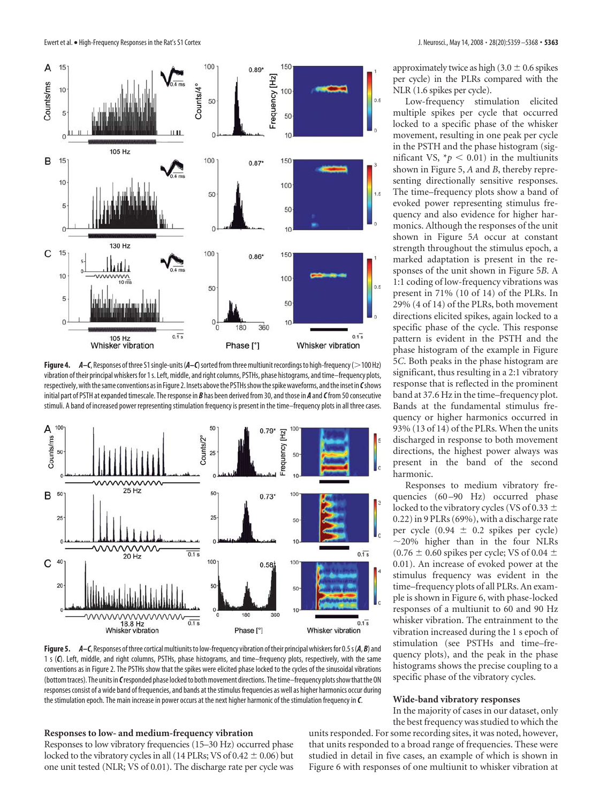

**Figure 4.** *A–C*, Responses of three S1 single-units (*A–C*) sorted from three multiunit recordings to high-frequency (>100 Hz) vibration of their principal whiskers for 1s. Left, middle, and right columns, PSTHs, phase histograms, and time–frequency plots, respectively,withthesame conventions as in Figure 2. Insets abovethe PSTHsshowthespikewaveforms, andthe inset in *C*shows initial part of PSTH at expanded timescale. The response in *B* has been derived from 30, and those in *A* and*C*from 50 consecutive stimuli. A band of increased power representing stimulation frequency is present in the time–frequency plots in all three cases.



**Figure 5.** *A–C*, Responses ofthree corticalmultiunitsto low-frequency vibration oftheir principal whiskers for 0.5s(*A*, *B*) and 1s(*C*). Left, middle, and right columns, PSTHs, phase histograms, and time–frequency plots, respectively, with the same conventions as in Figure 2. The PSTHs show that the spikes were elicited phase locked to the cycles of the sinusoidal vibrations (bottom traces). The units in *C*responded phase locked to both movement directions. The time–frequency plots show that the ON responses consist of a wide band of frequencies, and bands at the stimulus frequencies as well as higher harmonics occur during the stimulation epoch. The main increase in power occurs at the next higher harmonic of the stimulation frequency in *C*.

### **Responses to low- and medium-frequency vibration**

Responses to low vibratory frequencies (15–30 Hz) occurred phase locked to the vibratory cycles in all (14 PLRs; VS of  $0.42 \pm 0.06$ ) but one unit tested (NLR; VS of 0.01). The discharge rate per cycle was approximately twice as high (3.0  $\pm$  0.6 spikes per cycle) in the PLRs compared with the NLR (1.6 spikes per cycle).

Low-frequency stimulation elicited multiple spikes per cycle that occurred locked to a specific phase of the whisker movement, resulting in one peak per cycle in the PSTH and the phase histogram (significant VS,  $*_p$  < 0.01) in the multiunits shown in Figure 5, *A* and *B*, thereby representing directionally sensitive responses. The time–frequency plots show a band of evoked power representing stimulus frequency and also evidence for higher harmonics. Although the responses of the unit shown in Figure 5*A* occur at constant strength throughout the stimulus epoch, a marked adaptation is present in the responses of the unit shown in Figure 5*B*. A 1:1 coding of low-frequency vibrations was present in 71% (10 of 14) of the PLRs. In 29% (4 of 14) of the PLRs, both movement directions elicited spikes, again locked to a specific phase of the cycle. This response pattern is evident in the PSTH and the phase histogram of the example in Figure 5*C*. Both peaks in the phase histogram are significant, thus resulting in a 2:1 vibratory response that is reflected in the prominent band at 37.6 Hz in the time–frequency plot. Bands at the fundamental stimulus frequency or higher harmonics occurred in 93% (13 of 14) of the PLRs. When the units discharged in response to both movement directions, the highest power always was present in the band of the second harmonic.

Responses to medium vibratory frequencies (60-90 Hz) occurred phase locked to the vibratory cycles (VS of 0.33  $\pm$ 0.22) in 9 PLRs (69%), with a discharge rate per cycle  $(0.94 \pm 0.2 \text{ spikes per cycle})$  $\sim$ 20% higher than in the four NLRs  $(0.76 \pm 0.60$  spikes per cycle; VS of 0.04  $\pm$ 0.01). An increase of evoked power at the stimulus frequency was evident in the time–frequency plots of all PLRs. An example is shown in Figure 6, with phase-locked responses of a multiunit to 60 and 90 Hz whisker vibration. The entrainment to the vibration increased during the 1 s epoch of stimulation (see PSTHs and time–frequency plots), and the peak in the phase histograms shows the precise coupling to a specific phase of the vibratory cycles.

## **Wide-band vibratory responses**

In the majority of cases in our dataset, only the best frequency was studied to which the

units responded. For some recording sites, it was noted, however, that units responded to a broad range of frequencies. These were studied in detail in five cases, an example of which is shown in Figure 6 with responses of one multiunit to whisker vibration at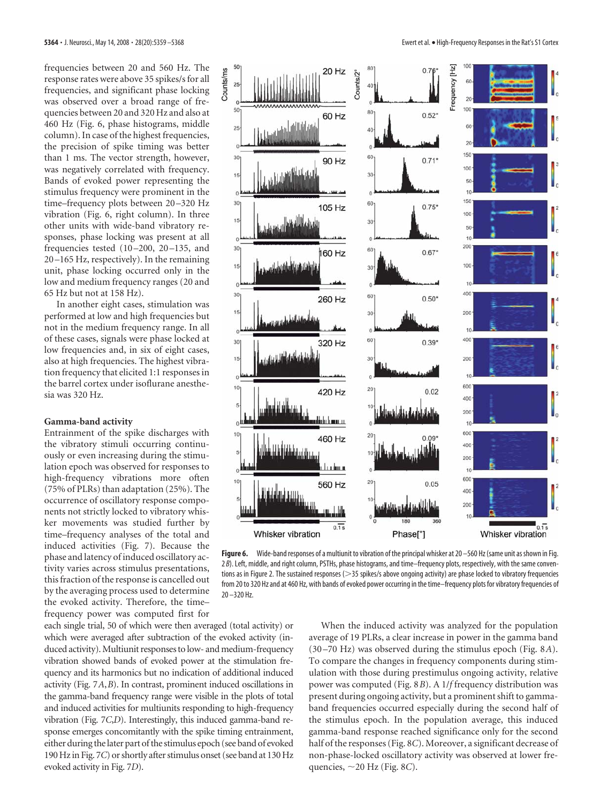frequencies between 20 and 560 Hz. The response rates were above 35 spikes/s for all frequencies, and significant phase locking was observed over a broad range of frequencies between 20 and 320 Hz and also at 460 Hz (Fig. 6, phase histograms, middle column). In case of the highest frequencies, the precision of spike timing was better than 1 ms. The vector strength, however, was negatively correlated with frequency. Bands of evoked power representing the stimulus frequency were prominent in the time–frequency plots between 20–320 Hz vibration (Fig. 6, right column). In three other units with wide-band vibratory responses, phase locking was present at all frequencies tested  $(10-200, 20-135,$  and 20 –165 Hz, respectively). In the remaining unit, phase locking occurred only in the low and medium frequency ranges (20 and 65 Hz but not at 158 Hz).

In another eight cases, stimulation was performed at low and high frequencies but not in the medium frequency range. In all of these cases, signals were phase locked at low frequencies and, in six of eight cases, also at high frequencies. The highest vibration frequency that elicited 1:1 responses in the barrel cortex under isoflurane anesthesia was 320 Hz.

#### **Gamma-band activity**

Entrainment of the spike discharges with the vibratory stimuli occurring continuously or even increasing during the stimulation epoch was observed for responses to high-frequency vibrations more often (75% of PLRs) than adaptation (25%). The occurrence of oscillatory response components not strictly locked to vibratory whisker movements was studied further by time–frequency analyses of the total and induced activities (Fig. 7). Because the phase and latency of induced oscillatory activity varies across stimulus presentations, this fraction of the response is cancelled out by the averaging process used to determine the evoked activity. Therefore, the time– frequency power was computed first for

each single trial, 50 of which were then averaged (total activity) or which were averaged after subtraction of the evoked activity (induced activity). Multiunit responses to low- and medium-frequency vibration showed bands of evoked power at the stimulation frequency and its harmonics but no indication of additional induced activity (Fig. 7*A*,*B*). In contrast, prominent induced oscillations in the gamma-band frequency range were visible in the plots of total and induced activities for multiunits responding to high-frequency vibration (Fig. 7*C*,*D*). Interestingly, this induced gamma-band response emerges concomitantly with the spike timing entrainment, either during the later part of the stimulus epoch (see band of evoked 190 Hz in Fig. 7*C*) or shortly after stimulus onset (see band at 130 Hz evoked activity in Fig. 7*D*).



Figure 6. Wide-band responses of a multiunit to vibration of the principal whisker at 20 – 560 Hz (same unit as shown in Fig. 2 *B*). Left, middle, and right column, PSTHs, phase histograms, and time–frequency plots, respectively, with the same conventions as in Figure 2. The sustained responses ( $>$ 35 spikes/s above ongoing activity) are phase locked to vibratory frequencies from 20 to 320 Hz and at 460 Hz, with bands of evoked power occurring in the time–frequency plots for vibratory frequencies of 20 –320 Hz.

When the induced activity was analyzed for the population average of 19 PLRs, a clear increase in power in the gamma band (30 –70 Hz) was observed during the stimulus epoch (Fig. 8*A*). To compare the changes in frequency components during stimulation with those during prestimulus ongoing activity, relative power was computed (Fig. 8*B*). A 1/*f* frequency distribution was present during ongoing activity, but a prominent shift to gammaband frequencies occurred especially during the second half of the stimulus epoch. In the population average, this induced gamma-band response reached significance only for the second half of the responses (Fig. 8*C*). Moreover, a significant decrease of non-phase-locked oscillatory activity was observed at lower frequencies, 20 Hz (Fig. 8*C*).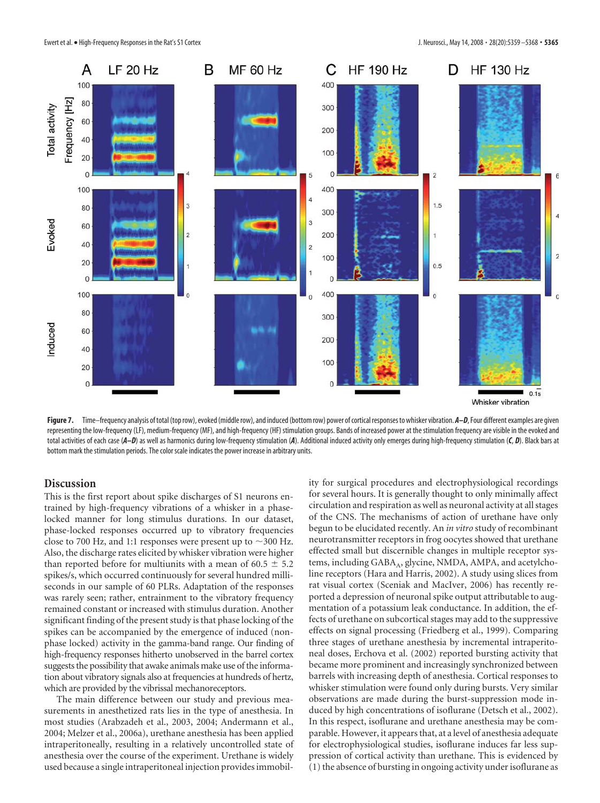

Figure 7. Time–frequency analysis of total (top row), evoked (middle row), and induced (bottom row) power of cortical responses to whisker vibration. *A–D*, Four different examples are given representing the low-frequency (LF), medium-frequency (MF), and high-frequency (HF) stimulation groups. Bands of increased power at the stimulation frequency are visible in the evoked and total activities of each case (*A–D*) as well as harmonics during low-frequency stimulation (*A*). Additional induced activity only emerges during high-frequency stimulation (*C*, *D*). Black bars at bottom mark the stimulation periods. The color scale indicates the power increase in arbitrary units.

# **Discussion**

This is the first report about spike discharges of S1 neurons entrained by high-frequency vibrations of a whisker in a phaselocked manner for long stimulus durations. In our dataset, phase-locked responses occurred up to vibratory frequencies close to 700 Hz, and 1:1 responses were present up to  $\sim$  300 Hz. Also, the discharge rates elicited by whisker vibration were higher than reported before for multiunits with a mean of 60.5  $\pm$  5.2 spikes/s, which occurred continuously for several hundred milliseconds in our sample of 60 PLRs. Adaptation of the responses was rarely seen; rather, entrainment to the vibratory frequency remained constant or increased with stimulus duration. Another significant finding of the present study is that phase locking of the spikes can be accompanied by the emergence of induced (nonphase locked) activity in the gamma-band range. Our finding of high-frequency responses hitherto unobserved in the barrel cortex suggests the possibility that awake animals make use of the information about vibratory signals also at frequencies at hundreds of hertz, which are provided by the vibrissal mechanoreceptors.

The main difference between our study and previous measurements in anesthetized rats lies in the type of anesthesia. In most studies (Arabzadeh et al., 2003, 2004; Andermann et al., 2004; Melzer et al., 2006a), urethane anesthesia has been applied intraperitoneally, resulting in a relatively uncontrolled state of anesthesia over the course of the experiment. Urethane is widely used because a single intraperitoneal injection provides immobility for surgical procedures and electrophysiological recordings for several hours. It is generally thought to only minimally affect circulation and respiration as well as neuronal activity at all stages of the CNS. The mechanisms of action of urethane have only begun to be elucidated recently. An *in vitro* study of recombinant neurotransmitter receptors in frog oocytes showed that urethane effected small but discernible changes in multiple receptor systems, including GABA<sub>A</sub>, glycine, NMDA, AMPA, and acetylcholine receptors (Hara and Harris, 2002). A study using slices from rat visual cortex (Sceniak and MacIver, 2006) has recently reported a depression of neuronal spike output attributable to augmentation of a potassium leak conductance. In addition, the effects of urethane on subcortical stages may add to the suppressive effects on signal processing (Friedberg et al., 1999). Comparing three stages of urethane anesthesia by incremental intraperitoneal doses, Erchova et al. (2002) reported bursting activity that became more prominent and increasingly synchronized between barrels with increasing depth of anesthesia. Cortical responses to whisker stimulation were found only during bursts. Very similar observations are made during the burst-suppression mode induced by high concentrations of isoflurane (Detsch et al., 2002). In this respect, isoflurane and urethane anesthesia may be comparable. However, it appears that, at a level of anesthesia adequate for electrophysiological studies, isoflurane induces far less suppression of cortical activity than urethane. This is evidenced by (1) the absence of bursting in ongoing activity under isoflurane as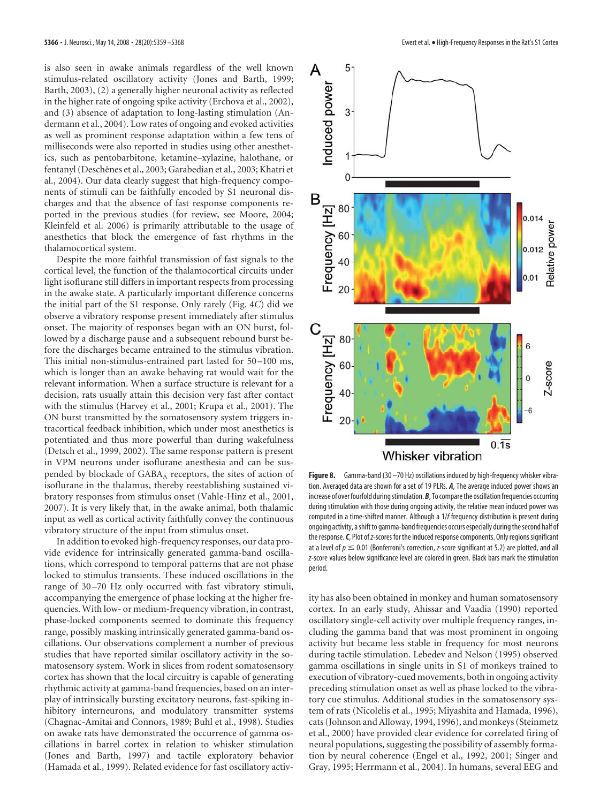is also seen in awake animals regardless of the well known stimulus-related oscillatory activity (Jones and Barth, 1999; Barth, 2003), (2) a generally higher neuronal activity as reflected in the higher rate of ongoing spike activity (Erchova et al., 2002), and (3) absence of adaptation to long-lasting stimulation (Andermann et al., 2004). Low rates of ongoing and evoked activities as well as prominent response adaptation within a few tens of milliseconds were also reported in studies using other anesthetics, such as pentobarbitone, ketamine–xylazine, halothane, or fentanyl (Deschênes et al., 2003; Garabedian et al., 2003; Khatri et al., 2004). Our data clearly suggest that high-frequency components of stimuli can be faithfully encoded by S1 neuronal discharges and that the absence of fast response components reported in the previous studies (for review, see Moore, 2004; Kleinfeld et al. 2006) is primarily attributable to the usage of anesthetics that block the emergence of fast rhythms in the thalamocortical system.

Despite the more faithful transmission of fast signals to the cortical level, the function of the thalamocortical circuits under light isoflurane still differs in important respects from processing in the awake state. A particularly important difference concerns the initial part of the S1 response. Only rarely (Fig. 4*C*) did we observe a vibratory response present immediately after stimulus onset. The majority of responses began with an ON burst, followed by a discharge pause and a subsequent rebound burst before the discharges became entrained to the stimulus vibration. This initial non-stimulus-entrained part lasted for 50 –100 ms, which is longer than an awake behaving rat would wait for the relevant information. When a surface structure is relevant for a decision, rats usually attain this decision very fast after contact with the stimulus (Harvey et al., 2001; Krupa et al., 2001). The ON burst transmitted by the somatosensory system triggers intracortical feedback inhibition, which under most anesthetics is potentiated and thus more powerful than during wakefulness (Detsch et al., 1999, 2002). The same response pattern is present in VPM neurons under isoflurane anesthesia and can be suspended by blockade of GABA<sub>A</sub> receptors, the sites of action of isoflurane in the thalamus, thereby reestablishing sustained vibratory responses from stimulus onset (Vahle-Hinz et al., 2001, 2007). It is very likely that, in the awake animal, both thalamic input as well as cortical activity faithfully convey the continuous vibratory structure of the input from stimulus onset.

In addition to evoked high-frequency responses, our data provide evidence for intrinsically generated gamma-band oscillations, which correspond to temporal patterns that are not phase locked to stimulus transients. These induced oscillations in the range of 30-70 Hz only occurred with fast vibratory stimuli, accompanying the emergence of phase locking at the higher frequencies. With low- or medium-frequency vibration, in contrast, phase-locked components seemed to dominate this frequency range, possibly masking intrinsically generated gamma-band oscillations. Our observations complement a number of previous studies that have reported similar oscillatory activity in the somatosensory system. Work in slices from rodent somatosensory cortex has shown that the local circuitry is capable of generating rhythmic activity at gamma-band frequencies, based on an interplay of intrinsically bursting excitatory neurons, fast-spiking inhibitory interneurons, and modulatory transmitter systems (Chagnac-Amitai and Connors, 1989; Buhl et al., 1998). Studies on awake rats have demonstrated the occurrence of gamma oscillations in barrel cortex in relation to whisker stimulation (Jones and Barth, 1997) and tactile exploratory behavior (Hamada et al., 1999). Related evidence for fast oscillatory activ-



**Figure 8.** Gamma-band (30 – 70 Hz) oscillations induced by high-frequency whisker vibration. Averaged data are shown for a set of 19 PLRs. *A*, The average induced power shows an increase of over fourfold during stimulation. **B**, To compare the oscillation frequencies occurring during stimulation with those during ongoing activity, the relative mean induced power was computed in a time-shifted manner. Although a 1/*f* frequency distribution is present during ongoing activity, a shift to gamma-band frequencies occurs especially during the second half of the response.*C*, Plot of*z*-scores for the induced response components. Only regions significant at a level of  $p \leq 0.01$  (Bonferroni's correction, *z*-score significant at 5.2) are plotted, and all *z*-score values below significance level are colored in green. Black bars mark the stimulation period.

ity has also been obtained in monkey and human somatosensory cortex. In an early study, Ahissar and Vaadia (1990) reported oscillatory single-cell activity over multiple frequency ranges, including the gamma band that was most prominent in ongoing activity but became less stable in frequency for most neurons during tactile stimulation. Lebedev and Nelson (1995) observed gamma oscillations in single units in S1 of monkeys trained to execution of vibratory-cued movements, both in ongoing activity preceding stimulation onset as well as phase locked to the vibratory cue stimulus. Additional studies in the somatosensory system of rats (Nicolelis et al., 1995; Miyashita and Hamada, 1996), cats (Johnson and Alloway, 1994, 1996), and monkeys (Steinmetz et al., 2000) have provided clear evidence for correlated firing of neural populations, suggesting the possibility of assembly formation by neural coherence (Engel et al., 1992, 2001; Singer and Gray, 1995; Herrmann et al., 2004). In humans, several EEG and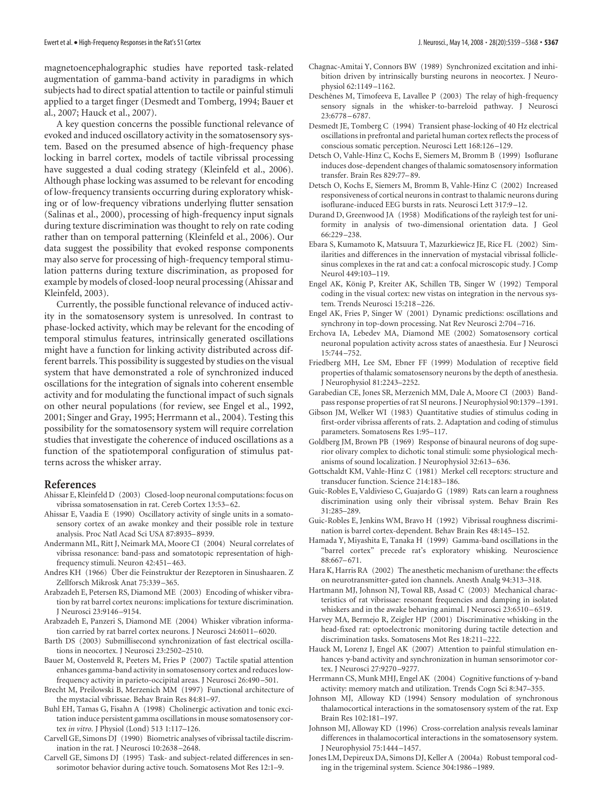magnetoencephalographic studies have reported task-related augmentation of gamma-band activity in paradigms in which subjects had to direct spatial attention to tactile or painful stimuli applied to a target finger (Desmedt and Tomberg, 1994; Bauer et al., 2007; Hauck et al., 2007).

A key question concerns the possible functional relevance of evoked and induced oscillatory activity in the somatosensory system. Based on the presumed absence of high-frequency phase locking in barrel cortex, models of tactile vibrissal processing have suggested a dual coding strategy (Kleinfeld et al., 2006). Although phase locking was assumed to be relevant for encoding of low-frequency transients occurring during exploratory whisking or of low-frequency vibrations underlying flutter sensation (Salinas et al., 2000), processing of high-frequency input signals during texture discrimination was thought to rely on rate coding rather than on temporal patterning (Kleinfeld et al., 2006). Our data suggest the possibility that evoked response components may also serve for processing of high-frequency temporal stimulation patterns during texture discrimination, as proposed for example by models of closed-loop neural processing (Ahissar and Kleinfeld, 2003).

Currently, the possible functional relevance of induced activity in the somatosensory system is unresolved. In contrast to phase-locked activity, which may be relevant for the encoding of temporal stimulus features, intrinsically generated oscillations might have a function for linking activity distributed across different barrels. This possibility is suggested by studies on the visual system that have demonstrated a role of synchronized induced oscillations for the integration of signals into coherent ensemble activity and for modulating the functional impact of such signals on other neural populations (for review, see Engel et al., 1992, 2001; Singer and Gray, 1995; Herrmann et al., 2004). Testing this possibility for the somatosensory system will require correlation studies that investigate the coherence of induced oscillations as a function of the spatiotemporal configuration of stimulus patterns across the whisker array.

#### **References**

- Ahissar E, Kleinfeld D (2003) Closed-loop neuronal computations: focus on vibrissa somatosensation in rat. Cereb Cortex 13:53–62.
- Ahissar E, Vaadia E (1990) Oscillatory activity of single units in a somatosensory cortex of an awake monkey and their possible role in texture analysis. Proc Natl Acad Sci USA 87:8935–8939.
- Andermann ML, Ritt J, Neimark MA, Moore CI (2004) Neural correlates of vibrissa resonance: band-pass and somatotopic representation of highfrequency stimuli. Neuron 42:451–463.
- Andres KH (1966) Über die Feinstruktur der Rezeptoren in Sinushaaren. Z Zellforsch Mikrosk Anat 75:339 –365.
- Arabzadeh E, Petersen RS, Diamond ME (2003) Encoding of whisker vibration by rat barrel cortex neurons: implications for texture discrimination. J Neurosci 23:9146 –9154.
- Arabzadeh E, Panzeri S, Diamond ME (2004) Whisker vibration information carried by rat barrel cortex neurons. J Neurosci 24:6011–6020.
- Barth DS (2003) Submillisecond synchronization of fast electrical oscillations in neocortex. J Neurosci 23:2502–2510.
- Bauer M, Oostenveld R, Peeters M, Fries P (2007) Tactile spatial attention enhances gamma-band activity in somatosensory cortex and reduces lowfrequency activity in parieto-occipital areas. J Neurosci 26:490 –501.
- Brecht M, Preilowski B, Merzenich MM (1997) Functional architecture of the mystacial vibrissae. Behav Brain Res 84:81–97.
- Buhl EH, Tamas G, Fisahn A (1998) Cholinergic activation and tonic excitation induce persistent gamma oscillations in mouse somatosensory cortex *in vitro.* J Physiol (Lond) 513 1:117–126.
- Carvell GE, Simons DJ (1990) Biometric analyses of vibrissal tactile discrimination in the rat. J Neurosci 10:2638 –2648.
- Carvell GE, Simons DJ (1995) Task- and subject-related differences in sensorimotor behavior during active touch. Somatosens Mot Res 12:1–9.
- Chagnac-Amitai Y, Connors BW (1989) Synchronized excitation and inhibition driven by intrinsically bursting neurons in neocortex. J Neurophysiol 62:1149 –1162.
- Deschênes M, Timofeeva E, Lavallee P (2003) The relay of high-frequency sensory signals in the whisker-to-barreloid pathway. J Neurosci 23:6778 –6787.
- Desmedt JE, Tomberg C (1994) Transient phase-locking of 40 Hz electrical oscillations in prefrontal and parietal human cortex reflects the process of conscious somatic perception. Neurosci Lett 168:126 –129.
- Detsch O, Vahle-Hinz C, Kochs E, Siemers M, Bromm B (1999) Isoflurane induces dose-dependent changes of thalamic somatosensory information transfer. Brain Res 829:77–89.
- Detsch O, Kochs E, Siemers M, Bromm B, Vahle-Hinz C (2002) Increased responsiveness of cortical neurons in contrast to thalamic neurons during isoflurane-induced EEG bursts in rats. Neurosci Lett 317:9 –12.
- Durand D, Greenwood JA (1958) Modifications of the rayleigh test for uniformity in analysis of two-dimensional orientation data. J Geol  $66.229 - 238$
- Ebara S, Kumamoto K, Matsuura T, Mazurkiewicz JE, Rice FL (2002) Similarities and differences in the innervation of mystacial vibrissal folliclesinus complexes in the rat and cat: a confocal microscopic study. J Comp Neurol 449:103–119.
- Engel AK, König P, Kreiter AK, Schillen TB, Singer W (1992) Temporal coding in the visual cortex: new vistas on integration in the nervous system. Trends Neurosci 15:218 –226.
- Engel AK, Fries P, Singer W (2001) Dynamic predictions: oscillations and synchrony in top-down processing. Nat Rev Neurosci 2:704 –716.
- Erchova IA, Lebedev MA, Diamond ME (2002) Somatosensory cortical neuronal population activity across states of anaesthesia. Eur J Neurosci 15:744 –752.
- Friedberg MH, Lee SM, Ebner FF (1999) Modulation of receptive field properties of thalamic somatosensory neurons by the depth of anesthesia. J Neurophysiol 81:2243–2252.
- Garabedian CE, Jones SR, Merzenich MM, Dale A, Moore CI (2003) Bandpass response properties of rat SI neurons. J Neurophysiol 90:1379 –1391.
- Gibson JM, Welker WI (1983) Quantitative studies of stimulus coding in first-order vibrissa afferents of rats. 2. Adaptation and coding of stimulus parameters. Somatosens Res 1:95–117.
- Goldberg JM, Brown PB (1969) Response of binaural neurons of dog superior olivary complex to dichotic tonal stimuli: some physiological mechanisms of sound localization. J Neurophysiol 32:613–636.
- Gottschaldt KM, Vahle-Hinz C (1981) Merkel cell receptors: structure and transducer function. Science 214:183–186.
- Guic-Robles E, Valdivieso C, Guajardo G (1989) Rats can learn a roughness discrimination using only their vibrissal system. Behav Brain Res 31:285–289.
- Guic-Robles E, Jenkins WM, Bravo H (1992) Vibrissal roughness discrimination is barrel cortex-dependent. Behav Brain Res 48:145–152.
- Hamada Y, Miyashita E, Tanaka H (1999) Gamma-band oscillations in the "barrel cortex" precede rat's exploratory whisking. Neuroscience 88:667–671.
- Hara K, Harris RA (2002) The anesthetic mechanism of urethane: the effects on neurotransmitter-gated ion channels. Anesth Analg 94:313–318.
- Hartmann MJ, Johnson NJ, Towal RB, Assad C (2003) Mechanical characteristics of rat vibrissae: resonant frequencies and damping in isolated whiskers and in the awake behaving animal. J Neurosci 23:6510 –6519.
- Harvey MA, Bermejo R, Zeigler HP (2001) Discriminative whisking in the head-fixed rat: optoelectronic monitoring during tactile detection and discrimination tasks. Somatosens Mot Res 18:211–222.
- Hauck M, Lorenz J, Engel AK (2007) Attention to painful stimulation enhances  $\gamma$ -band activity and synchronization in human sensorimotor cortex. J Neurosci 27:9270 –9277.
- Herrmann CS, Munk MHJ, Engel AK (2004) Cognitive functions of  $\gamma$ -band activity: memory match and utilization. Trends Cogn Sci 8:347–355.
- Johnson MJ, Alloway KD (1994) Sensory modulation of synchronous thalamocortical interactions in the somatosensory system of the rat. Exp Brain Res 102:181–197.
- Johnson MJ, Alloway KD (1996) Cross-correlation analysis reveals laminar differences in thalamocortical interactions in the somatosensory system. J Neurophysiol 75:1444 –1457.
- Jones LM, Depireux DA, Simons DJ, Keller A (2004a) Robust temporal coding in the trigeminal system. Science 304:1986 –1989.